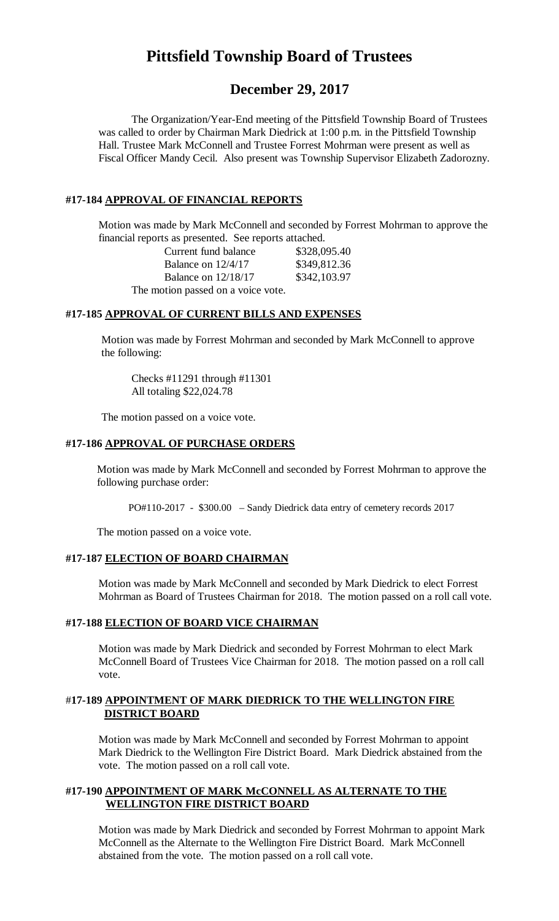# **Pittsfield Township Board of Trustees**

## **December 29, 2017**

The Organization/Year-End meeting of the Pittsfield Township Board of Trustees was called to order by Chairman Mark Diedrick at 1:00 p.m. in the Pittsfield Township Hall. Trustee Mark McConnell and Trustee Forrest Mohrman were present as well as Fiscal Officer Mandy Cecil. Also present was Township Supervisor Elizabeth Zadorozny.

#### **#17-184 APPROVAL OF FINANCIAL REPORTS**

Motion was made by Mark McConnell and seconded by Forrest Mohrman to approve the financial reports as presented. See reports attached.

Current fund balance \$328,095.40 Balance on 12/4/17 \$349,812.36 Balance on 12/18/17 \$342,103.97 The motion passed on a voice vote.

#### **#17-185 APPROVAL OF CURRENT BILLS AND EXPENSES**

Motion was made by Forrest Mohrman and seconded by Mark McConnell to approve the following:

Checks #11291 through #11301 All totaling \$22,024.78

The motion passed on a voice vote.

#### **#17-186 APPROVAL OF PURCHASE ORDERS**

Motion was made by Mark McConnell and seconded by Forrest Mohrman to approve the following purchase order:

PO#110-2017 - \$300.00 – Sandy Diedrick data entry of cemetery records 2017

The motion passed on a voice vote.

#### **#17-187 ELECTION OF BOARD CHAIRMAN**

Motion was made by Mark McConnell and seconded by Mark Diedrick to elect Forrest Mohrman as Board of Trustees Chairman for 2018. The motion passed on a roll call vote.

#### **#17-188 ELECTION OF BOARD VICE CHAIRMAN**

Motion was made by Mark Diedrick and seconded by Forrest Mohrman to elect Mark McConnell Board of Trustees Vice Chairman for 2018. The motion passed on a roll call vote.

#### #**17-189 APPOINTMENT OF MARK DIEDRICK TO THE WELLINGTON FIRE DISTRICT BOARD**

Motion was made by Mark McConnell and seconded by Forrest Mohrman to appoint Mark Diedrick to the Wellington Fire District Board. Mark Diedrick abstained from the vote. The motion passed on a roll call vote.

#### **#17-190 APPOINTMENT OF MARK McCONNELL AS ALTERNATE TO THE WELLINGTON FIRE DISTRICT BOARD**

Motion was made by Mark Diedrick and seconded by Forrest Mohrman to appoint Mark McConnell as the Alternate to the Wellington Fire District Board. Mark McConnell abstained from the vote. The motion passed on a roll call vote.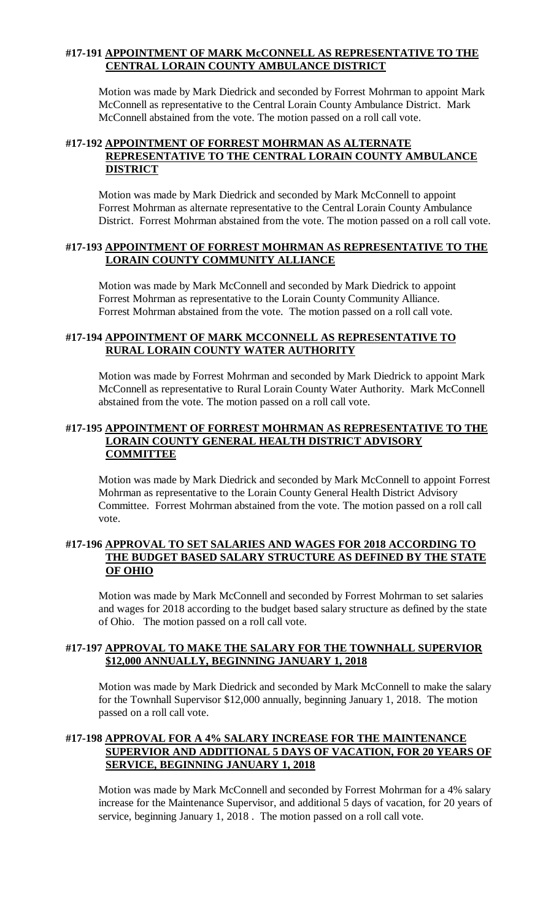## **#17-191 APPOINTMENT OF MARK McCONNELL AS REPRESENTATIVE TO THE CENTRAL LORAIN COUNTY AMBULANCE DISTRICT**

Motion was made by Mark Diedrick and seconded by Forrest Mohrman to appoint Mark McConnell as representative to the Central Lorain County Ambulance District. Mark McConnell abstained from the vote. The motion passed on a roll call vote.

#### **#17-192 APPOINTMENT OF FORREST MOHRMAN AS ALTERNATE REPRESENTATIVE TO THE CENTRAL LORAIN COUNTY AMBULANCE DISTRICT**

Motion was made by Mark Diedrick and seconded by Mark McConnell to appoint Forrest Mohrman as alternate representative to the Central Lorain County Ambulance District. Forrest Mohrman abstained from the vote. The motion passed on a roll call vote.

## **#17-193 APPOINTMENT OF FORREST MOHRMAN AS REPRESENTATIVE TO THE LORAIN COUNTY COMMUNITY ALLIANCE**

Motion was made by Mark McConnell and seconded by Mark Diedrick to appoint Forrest Mohrman as representative to the Lorain County Community Alliance. Forrest Mohrman abstained from the vote. The motion passed on a roll call vote.

## **#17-194 APPOINTMENT OF MARK MCCONNELL AS REPRESENTATIVE TO RURAL LORAIN COUNTY WATER AUTHORITY**

Motion was made by Forrest Mohrman and seconded by Mark Diedrick to appoint Mark McConnell as representative to Rural Lorain County Water Authority. Mark McConnell abstained from the vote. The motion passed on a roll call vote.

#### **#17-195 APPOINTMENT OF FORREST MOHRMAN AS REPRESENTATIVE TO THE LORAIN COUNTY GENERAL HEALTH DISTRICT ADVISORY COMMITTEE**

Motion was made by Mark Diedrick and seconded by Mark McConnell to appoint Forrest Mohrman as representative to the Lorain County General Health District Advisory Committee. Forrest Mohrman abstained from the vote. The motion passed on a roll call vote.

## **#17-196 APPROVAL TO SET SALARIES AND WAGES FOR 2018 ACCORDING TO THE BUDGET BASED SALARY STRUCTURE AS DEFINED BY THE STATE OF OHIO**

Motion was made by Mark McConnell and seconded by Forrest Mohrman to set salaries and wages for 2018 according to the budget based salary structure as defined by the state of Ohio. The motion passed on a roll call vote.

## **#17-197 APPROVAL TO MAKE THE SALARY FOR THE TOWNHALL SUPERVIOR \$12,000 ANNUALLY, BEGINNING JANUARY 1, 2018**

Motion was made by Mark Diedrick and seconded by Mark McConnell to make the salary for the Townhall Supervisor \$12,000 annually, beginning January 1, 2018. The motion passed on a roll call vote.

## **#17-198 APPROVAL FOR A 4% SALARY INCREASE FOR THE MAINTENANCE SUPERVIOR AND ADDITIONAL 5 DAYS OF VACATION, FOR 20 YEARS OF SERVICE, BEGINNING JANUARY 1, 2018**

Motion was made by Mark McConnell and seconded by Forrest Mohrman for a 4% salary increase for the Maintenance Supervisor, and additional 5 days of vacation, for 20 years of service, beginning January 1, 2018. The motion passed on a roll call vote.